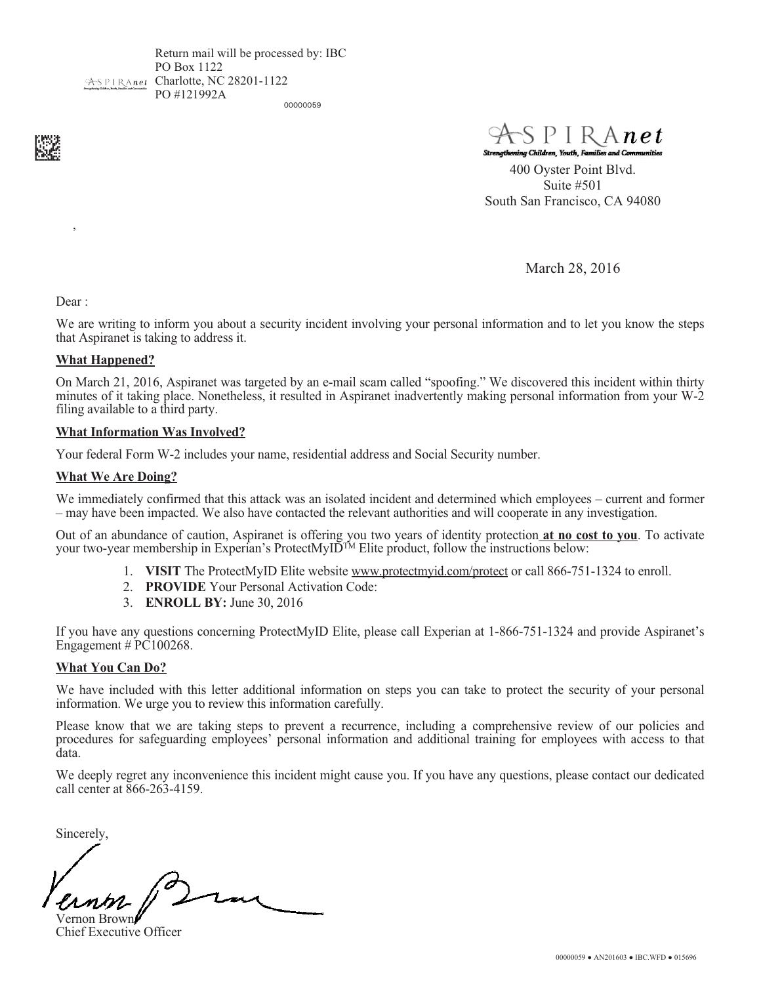Return mail will be processed by: IBC PO Box 1122 ASPIRAnet Charlotte, NC 28201-1122 PO #121992A

00000059



 $\vee$  net g Children, Youth

400 Oyster Point Blvd. Suite #501 South San Francisco, CA 94080

March 28, 2016

Dear :

,

We are writing to inform you about a security incident involving your personal information and to let you know the steps that Aspiranet is taking to address it.

### What Happened?

On March 21, 2016, Aspiranet was targeted by an e-mail scam called "spoofing." We discovered this incident within thirty minutes of it taking place. Nonetheless, it resulted in Aspiranet inadvertently making personal information from your W-2 filing available to a third party.

### What Information Was Involved?

Your federal Form W-2 includes your name, residential address and Social Security number.

### What We Are Doing?

We immediately confirmed that this attack was an isolated incident and determined which employees – current and former – may have been impacted. We also have contacted the relevant authorities and will cooperate in any investigation.

Out of an abundance of caution, Aspiranet is offering you two years of identity protection at no cost to you. To activate your two-year membership in Experian's ProtectMyID<sup>TM</sup> Elite product, follow the instructions below:

- 1. VISIT The ProtectMyID Elite website www.protectmyid.com/protect or call 866-751-1324 to enroll.
- 2. PROVIDE Your Personal Activation Code:
- 3. ENROLL BY: June 30, 2016

If you have any questions concerning ProtectMyID Elite, please call Experian at 1-866-751-1324 and provide Aspiranet's Engagement  $\#$  PC100268.

### What You Can Do?

We have included with this letter additional information on steps you can take to protect the security of your personal information. We urge you to review this information carefully.

Please know that we are taking steps to prevent a recurrence, including a comprehensive review of our policies and procedures for safeguarding employees' personal information and additional training for employees with access to that data.

We deeply regret any inconvenience this incident might cause you. If you have any questions, please contact our dedicated call center at 866-263-4159.

Sincerely,

Vernon Brown

Chief Executive Officer